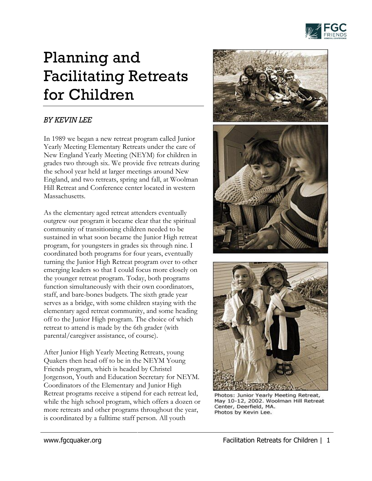

## Planning and Facilitating Retreats for Children

## *BY KEVIN LEE*

In 1989 we began a new retreat program called Junior Yearly Meeting Elementary Retreats under the care of New England Yearly Meeting (NEYM) for children in grades two through six. We provide five retreats during the school year held at larger meetings around New England, and two retreats, spring and fall, at Woolman Hill Retreat and Conference center located in western Massachusetts.

As the elementary aged retreat attenders eventually outgrew our program it became clear that the spiritual community of transitioning children needed to be sustained in what soon became the Junior High retreat program, for youngsters in grades six through nine. I coordinated both programs for four years, eventually turning the Junior High Retreat program over to other emerging leaders so that I could focus more closely on the younger retreat program. Today, both programs function simultaneously with their own coordinators, staff, and bare-bones budgets. The sixth grade year serves as a bridge, with some children staying with the elementary aged retreat community, and some heading off to the Junior High program. The choice of which retreat to attend is made by the 6th grader (with parental/caregiver assistance, of course).

After Junior High Yearly Meeting Retreats, young Quakers then head off to be in the NEYM Young Friends program, which is headed by Christel Jorgenson, Youth and Education Secretary for NEYM. Coordinators of the Elementary and Junior High Retreat programs receive a stipend for each retreat led, while the high school program, which offers a dozen or more retreats and other programs throughout the year, is coordinated by a fulltime staff person. All youth





Photos: Junior Yearly Meeting Retreat, May 10-12, 2002. Woolman Hill Retreat Center, Deerfield, MA. Photos by Kevin Lee.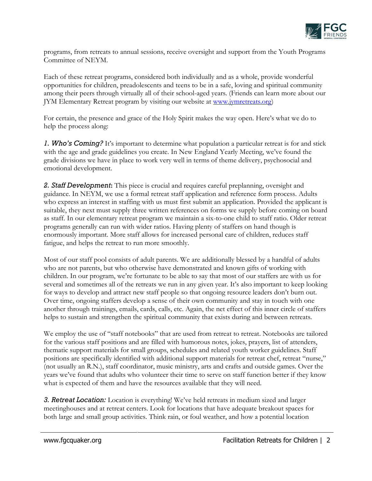

programs, from retreats to annual sessions, receive oversight and support from the Youth Programs Committee of NEYM.

Each of these retreat programs, considered both individually and as a whole, provide wonderful opportunities for children, preadolescents and teens to be in a safe, loving and spiritual community among their peers through virtually all of their school-aged years. (Friends can learn more about our JYM Elementary Retreat program by visiting our website at [www.jymretreats.org\)](http://www.jymretreats.org/)

For certain, the presence and grace of the Holy Spirit makes the way open. Here's what we do to help the process along:

*1. Who's Coming?* It's important to determine what population a particular retreat is for and stick with the age and grade guidelines you create. In New England Yearly Meeting, we've found the grade divisions we have in place to work very well in terms of theme delivery, psychosocial and emotional development.

*2. Staff Development***:** This piece is crucial and requires careful preplanning, oversight and guidance. In NEYM, we use a formal retreat staff application and reference form process. Adults who express an interest in staffing with us must first submit an application. Provided the applicant is suitable, they next must supply three written references on forms we supply before coming on board as staff. In our elementary retreat program we maintain a six-to-one child to staff ratio. Older retreat programs generally can run with wider ratios. Having plenty of staffers on hand though is enormously important. More staff allows for increased personal care of children, reduces staff fatigue, and helps the retreat to run more smoothly.

Most of our staff pool consists of adult parents. We are additionally blessed by a handful of adults who are not parents, but who otherwise have demonstrated and known gifts of working with children. In our program, we're fortunate to be able to say that most of our staffers are with us for several and sometimes all of the retreats we run in any given year. It's also important to keep looking for ways to develop and attract new staff people so that ongoing resource leaders don't burn out. Over time, ongoing staffers develop a sense of their own community and stay in touch with one another through trainings, emails, cards, calls, etc. Again, the net effect of this inner circle of staffers helps to sustain and strengthen the spiritual community that exists during and between retreats.

We employ the use of "staff notebooks" that are used from retreat to retreat. Notebooks are tailored for the various staff positions and are filled with humorous notes, jokes, prayers, list of attenders, thematic support materials for small groups, schedules and related youth worker guidelines. Staff positions are specifically identified with additional support materials for retreat chef, retreat "nurse," (not usually an R.N.), staff coordinator, music ministry, arts and crafts and outside games. Over the years we've found that adults who volunteer their time to serve on staff function better if they know what is expected of them and have the resources available that they will need.

*3. Retreat Location:* Location is everything! We've held retreats in medium sized and larger meetinghouses and at retreat centers. Look for locations that have adequate breakout spaces for both large and small group activities. Think rain, or foul weather, and how a potential location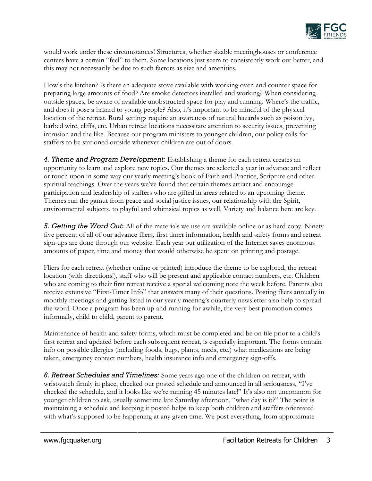

would work under these circumstances! Structures, whether sizable meetinghouses or conference centers have a certain "feel" to them. Some locations just seem to consistently work out better, and this may not necessarily be due to such factors as size and amenities.

How's the kitchen? Is there an adequate stove available with working oven and counter space for preparing large amounts of food? Are smoke detectors installed and working? When considering outside spaces, be aware of available unobstructed space for play and running. Where's the traffic, and does it pose a hazard to young people? Also, it's important to be mindful of the physical location of the retreat. Rural settings require an awareness of natural hazards such as poison ivy, barbed wire, cliffs, etc. Urban retreat locations necessitate attention to security issues, preventing intrusion and the like. Because our program ministers to younger children, our policy calls for staffers to be stationed outside whenever children are out of doors.

*4. Theme and Program Development:* Establishing a theme for each retreat creates an opportunity to learn and explore new topics. Our themes are selected a year in advance and reflect or touch upon in some way our yearly meeting's book of Faith and Practice, Scripture and other spiritual teachings. Over the years we've found that certain themes attract and encourage participation and leadership of staffers who are gifted in areas related to an upcoming theme. Themes run the gamut from peace and social justice issues, our relationship with the Spirit, environmental subjects, to playful and whimsical topics as well. Variety and balance here are key.

*5. Getting the Word Out***:** All of the materials we use are available online or as hard copy. Ninety five percent of all of our advance fliers, first timer information, health and safety forms and retreat sign-ups are done through our website. Each year our utilization of the Internet saves enormous amounts of paper, time and money that would otherwise be spent on printing and postage.

Fliers for each retreat (whether online or printed) introduce the theme to be explored, the retreat location (with directions!), staff who will be present and applicable contact numbers, etc. Children who are coming to their first retreat receive a special welcoming note the week before. Parents also receive extensive "First-Timer Info" that answers many of their questions. Posting fliers annually in monthly meetings and getting listed in our yearly meeting's quarterly newsletter also help to spread the word. Once a program has been up and running for awhile, the very best promotion comes informally, child to child, parent to parent.

Maintenance of health and safety forms, which must be completed and be on file prior to a child's first retreat and updated before each subsequent retreat, is especially important. The forms contain info on possible allergies (including foods, bugs, plants, meds, etc.) what medications are being taken, emergency contact numbers, health insurance info and emergency sign-offs.

*6. Retreat Schedules and Timelines:* Some years ago one of the children on retreat, with wristwatch firmly in place, checked our posted schedule and announced in all seriousness, "I've checked the schedule, and it looks like we're running 45 minutes late!" It's also not uncommon for younger children to ask, usually sometime late Saturday afternoon, "what day is it?" The point is maintaining a schedule and keeping it posted helps to keep both children and staffers orientated with what's supposed to be happening at any given time. We post everything, from approximate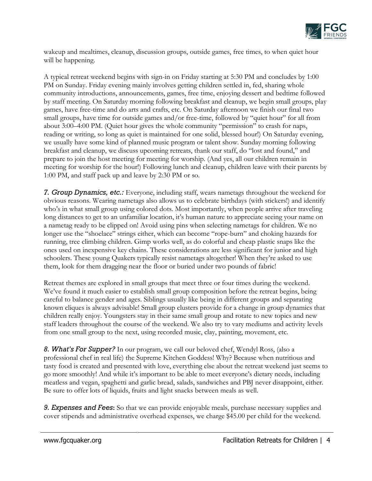

wakeup and mealtimes, cleanup, discussion groups, outside games, free times, to when quiet hour will be happening.

A typical retreat weekend begins with sign-in on Friday starting at 5:30 PM and concludes by 1:00 PM on Sunday. Friday evening mainly involves getting children settled in, fed, sharing whole community introductions, announcements, games, free time, enjoying dessert and bedtime followed by staff meeting. On Saturday morning following breakfast and cleanup, we begin small groups, play games, have free-time and do arts and crafts, etc. On Saturday afternoon we finish our final two small groups, have time for outside games and/or free-time, followed by "quiet hour" for all from about 3:00–4:00 PM. (Quiet hour gives the whole community "permission" to crash for naps, reading or writing, so long as quiet is maintained for one solid, blessed hour!) On Saturday evening, we usually have some kind of planned music program or talent show. Sunday morning following breakfast and cleanup, we discuss upcoming retreats, thank our staff, do "lost and found," and prepare to join the host meeting for meeting for worship. (And yes, all our children remain in meeting for worship for the hour!) Following lunch and cleanup, children leave with their parents by 1:00 PM, and staff pack up and leave by 2:30 PM or so.

*7. Group Dynamics, etc.:* Everyone, including staff, wears nametags throughout the weekend for obvious reasons. Wearing nametags also allows us to celebrate birthdays (with stickers!) and identify who's in what small group using colored dots. Most importantly, when people arrive after traveling long distances to get to an unfamiliar location, it's human nature to appreciate seeing your name on a nametag ready to be clipped on! Avoid using pins when selecting nametags for children. We no longer use the "shoelace" strings either, which can become "rope-burn" and choking hazards for running, tree climbing children. Gimp works well, as do colorful and cheap plastic snaps like the ones used on inexpensive key chains. These considerations are less significant for junior and high schoolers. These young Quakers typically resist nametags altogether! When they're asked to use them, look for them dragging near the floor or buried under two pounds of fabric!

Retreat themes are explored in small groups that meet three or four times during the weekend. We've found it much easier to establish small group composition before the retreat begins, being careful to balance gender and ages. Siblings usually like being in different groups and separating known cliques is always advisable! Small group clusters provide for a change in group dynamics that children really enjoy. Youngsters stay in their same small group and rotate to new topics and new staff leaders throughout the course of the weekend. We also try to vary mediums and activity levels from one small group to the next, using recorded music, clay, painting, movement, etc.

*8. What's For Supper?* In our program, we call our beloved chef, Wendyl Ross, (also a professional chef in real life) the Supreme Kitchen Goddess! Why? Because when nutritious and tasty food is created and presented with love, everything else about the retreat weekend just seems to go more smoothly! And while it's important to be able to meet everyone's dietary needs, including meatless and vegan, spaghetti and garlic bread, salads, sandwiches and PBJ never disappoint, either. Be sure to offer lots of liquids, fruits and light snacks between meals as well.

*9. Expenses and Fees***:** So that we can provide enjoyable meals, purchase necessary supplies and cover stipends and administrative overhead expenses, we charge \$45.00 per child for the weekend.